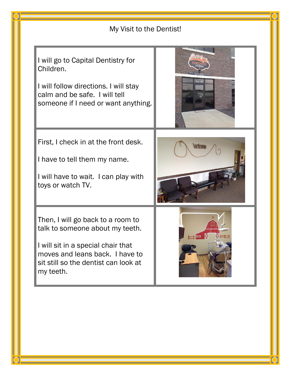